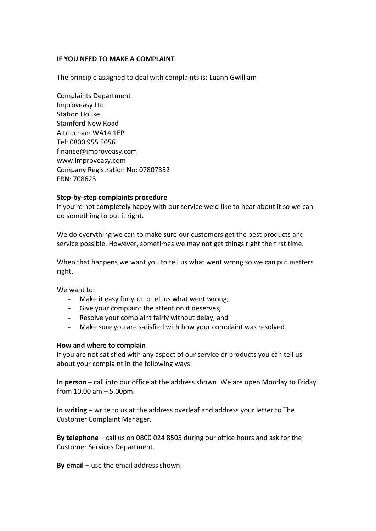### **IF YOU NEED TO MAKE A COMPLAINT**

The principle assigned to deal with complaints is: Luann Gwilliam

Complaints Department Improveasy Ltd Station House Stamford New Road Altrincham WA14 1EP Tel: 0800 955 5056 finance@improveasy.com [www.improveasy.com](http://www.improveasy.com/) Company Registration No: 07807352 FRN: 708623

## **Step-by-step complaints procedure**

If you're not completely happy with our service we'd like to hear about it so we can do something to put it right.

We do everything we can to make sure our customers get the best products and service possible. However, sometimes we may not get things right the first time.

When that happens we want you to tell us what went wrong so we can put matters right.

We want to:

- Make it easy for you to tell us what went wrong;
- Give your complaint the attention it deserves;
- Resolve your complaint fairly without delay; and
- Make sure you are satisfied with how your complaint was resolved.

#### **How and where to complain**

If you are not satisfied with any aspect of our service or products you can tell us about your complaint in the following ways:

**In person** – call into our office at the address shown. We are open Monday to Friday from 10.00 am – 5.00pm.

**In writing** – write to us at the address overleaf and address your letter to The Customer Complaint Manager.

**By telephone** – call us on 0800 024 8505 during our office hours and ask for the Customer Services Department.

**By email** – use the email address shown.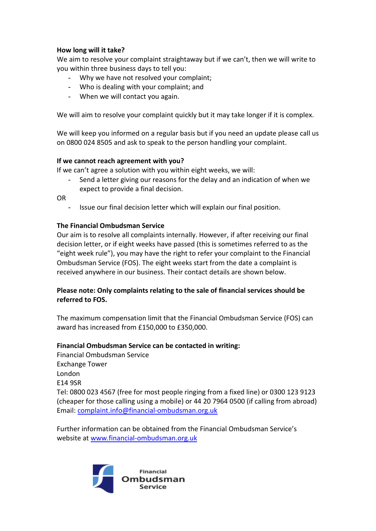# **How long will it take?**

We aim to resolve your complaint straightaway but if we can't, then we will write to you within three business days to tell you:

- Why we have not resolved your complaint;
- Who is dealing with your complaint; and
- When we will contact you again.

We will aim to resolve your complaint quickly but it may take longer if it is complex.

We will keep you informed on a regular basis but if you need an update please call us on 0800 024 8505 and ask to speak to the person handling your complaint.

### **If we cannot reach agreement with you?**

If we can't agree a solution with you within eight weeks, we will:

Send a letter giving our reasons for the delay and an indication of when we expect to provide a final decision.

OR

- Issue our final decision letter which will explain our final position.

## **The Financial Ombudsman Service**

Our aim is to resolve all complaints internally. However, if after receiving our final decision letter, or if eight weeks have passed (this is sometimes referred to as the "eight week rule"), you may have the right to refer your complaint to the Financial Ombudsman Service (FOS). The eight weeks start from the date a complaint is received anywhere in our business. Their contact details are shown below.

# **Please note: Only complaints relating to the sale of financial services should be referred to FOS.**

The maximum compensation limit that the Financial Ombudsman Service (FOS) can award has increased from £150,000 to £350,000.

### **Financial Ombudsman Service can be contacted in writing:**

Financial Ombudsman Service Exchange Tower London E14 9SR Tel: 0800 023 4567 (free for most people ringing from a fixed line) or 0300 123 9123 (cheaper for those calling using a mobile) or 44 20 7964 0500 (if calling from abroad) Email: [complaint.info@financial-ombudsman.org.uk](mailto:complaint.info@financial-ombudsman.org.uk)

Further information can be obtained from the Financial Ombudsman Service's website at [www.financial-ombudsman.org.uk](http://www.financial-ombudsman.org.uk/)